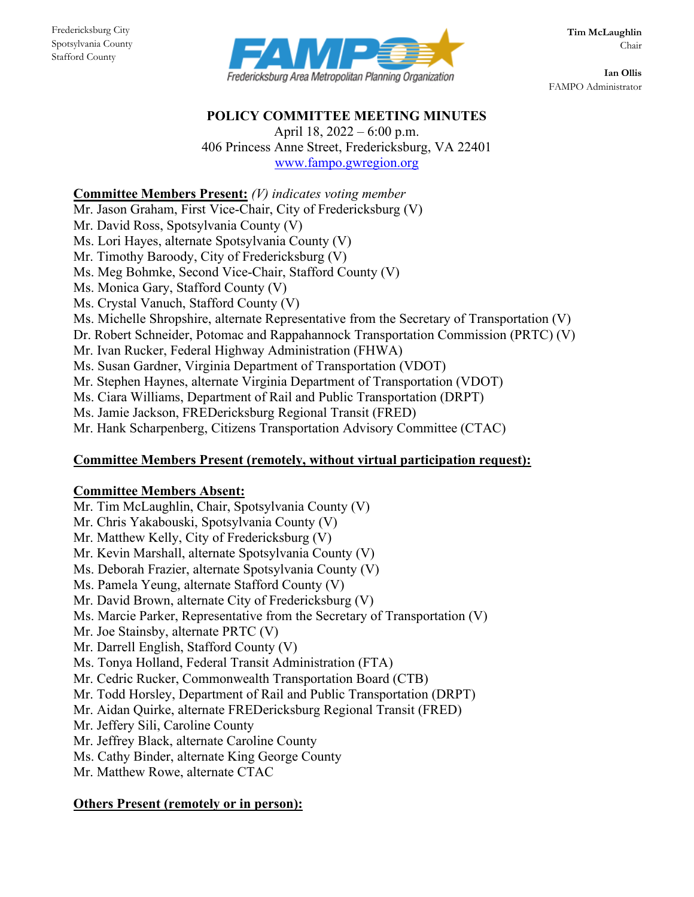Stafford County



**Ian Ollis** FAMPO Administrator

#### **POLICY COMMITTEE MEETING MINUTES**

April 18, 2022 – 6:00 p.m. 406 Princess Anne Street, Fredericksburg, VA 22401 [www.fampo.gwregion.org](http://www.fampo.gwregion.org/)

# **Committee Members Present:** *(V) indicates voting member*

Mr. Jason Graham, First Vice-Chair, City of Fredericksburg (V)

Mr. David Ross, Spotsylvania County (V)

Ms. Lori Hayes, alternate Spotsylvania County (V)

Mr. Timothy Baroody, City of Fredericksburg (V)

Ms. Meg Bohmke, Second Vice-Chair, Stafford County (V)

Ms. Monica Gary, Stafford County (V)

Ms. Crystal Vanuch, Stafford County (V)

Ms. Michelle Shropshire, alternate Representative from the Secretary of Transportation (V)

Dr. Robert Schneider, Potomac and Rappahannock Transportation Commission (PRTC) (V)

Mr. Ivan Rucker, Federal Highway Administration (FHWA)

Ms. Susan Gardner, Virginia Department of Transportation (VDOT)

Mr. Stephen Haynes, alternate Virginia Department of Transportation (VDOT)

Ms. Ciara Williams, Department of Rail and Public Transportation (DRPT)

Ms. Jamie Jackson, FREDericksburg Regional Transit (FRED)

Mr. Hank Scharpenberg, Citizens Transportation Advisory Committee (CTAC)

# **Committee Members Present (remotely, without virtual participation request):**

# **Committee Members Absent:**

Mr. Tim McLaughlin, Chair, Spotsylvania County (V) Mr. Chris Yakabouski, Spotsylvania County (V) Mr. Matthew Kelly, City of Fredericksburg (V) Mr. Kevin Marshall, alternate Spotsylvania County (V) Ms. Deborah Frazier, alternate Spotsylvania County (V) Ms. Pamela Yeung, alternate Stafford County (V) Mr. David Brown, alternate City of Fredericksburg (V) Ms. Marcie Parker, Representative from the Secretary of Transportation (V) Mr. Joe Stainsby, alternate PRTC (V) Mr. Darrell English, Stafford County (V) Ms. Tonya Holland, Federal Transit Administration (FTA) Mr. Cedric Rucker, Commonwealth Transportation Board (CTB) Mr. Todd Horsley, Department of Rail and Public Transportation (DRPT) Mr. Aidan Quirke, alternate FREDericksburg Regional Transit (FRED) Mr. Jeffery Sili, Caroline County Mr. Jeffrey Black, alternate Caroline County Ms. Cathy Binder, alternate King George County Mr. Matthew Rowe, alternate CTAC

# **Others Present (remotely or in person):**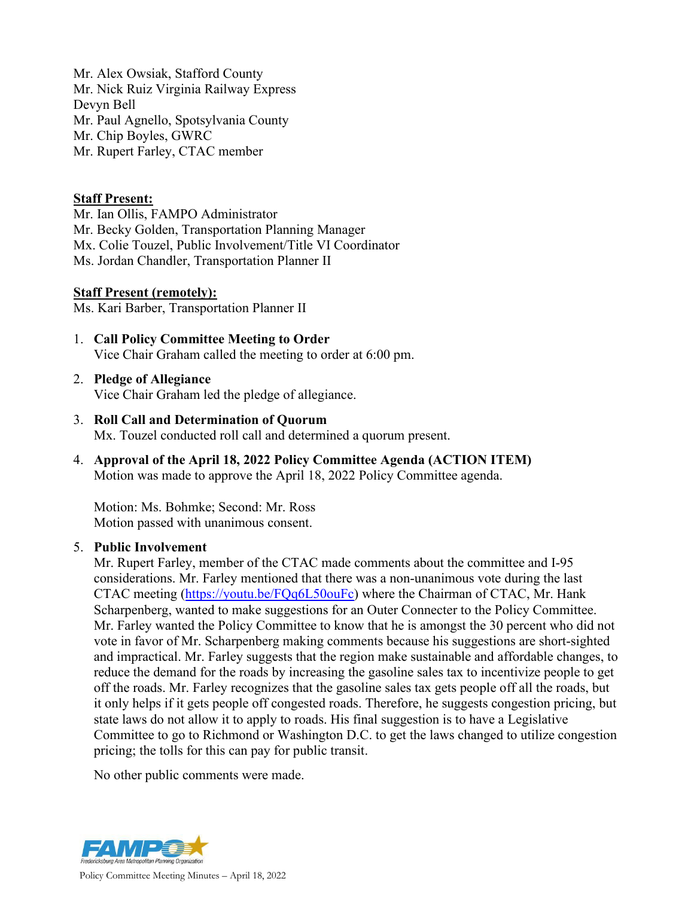Mr. Alex Owsiak, Stafford County Mr. Nick Ruiz Virginia Railway Express Devyn Bell Mr. Paul Agnello, Spotsylvania County Mr. Chip Boyles, GWRC Mr. Rupert Farley, CTAC member

## **Staff Present:**

Mr. Ian Ollis, FAMPO Administrator Mr. Becky Golden, Transportation Planning Manager Mx. Colie Touzel, Public Involvement/Title VI Coordinator Ms. Jordan Chandler, Transportation Planner II

#### **Staff Present (remotely):**

Ms. Kari Barber, Transportation Planner II

- 1. **Call Policy Committee Meeting to Order** Vice Chair Graham called the meeting to order at 6:00 pm.
- 2. **Pledge of Allegiance** Vice Chair Graham led the pledge of allegiance.
- 3. **Roll Call and Determination of Quorum** Mx. Touzel conducted roll call and determined a quorum present.
- 4. **Approval of the April 18, 2022 Policy Committee Agenda (ACTION ITEM)** Motion was made to approve the April 18, 2022 Policy Committee agenda.

Motion: Ms. Bohmke; Second: Mr. Ross Motion passed with unanimous consent.

#### 5. **Public Involvement**

Mr. Rupert Farley, member of the CTAC made comments about the committee and I-95 considerations. Mr. Farley mentioned that there was a non-unanimous vote during the last CTAC meeting [\(https://youtu.be/FQq6L50ouFc\)](https://youtu.be/FQq6L50ouFc) where the Chairman of CTAC, Mr. Hank Scharpenberg, wanted to make suggestions for an Outer Connecter to the Policy Committee. Mr. Farley wanted the Policy Committee to know that he is amongst the 30 percent who did not vote in favor of Mr. Scharpenberg making comments because his suggestions are short-sighted and impractical. Mr. Farley suggests that the region make sustainable and affordable changes, to reduce the demand for the roads by increasing the gasoline sales tax to incentivize people to get off the roads. Mr. Farley recognizes that the gasoline sales tax gets people off all the roads, but it only helps if it gets people off congested roads. Therefore, he suggests congestion pricing, but state laws do not allow it to apply to roads. His final suggestion is to have a Legislative Committee to go to Richmond or Washington D.C. to get the laws changed to utilize congestion pricing; the tolls for this can pay for public transit.

No other public comments were made.

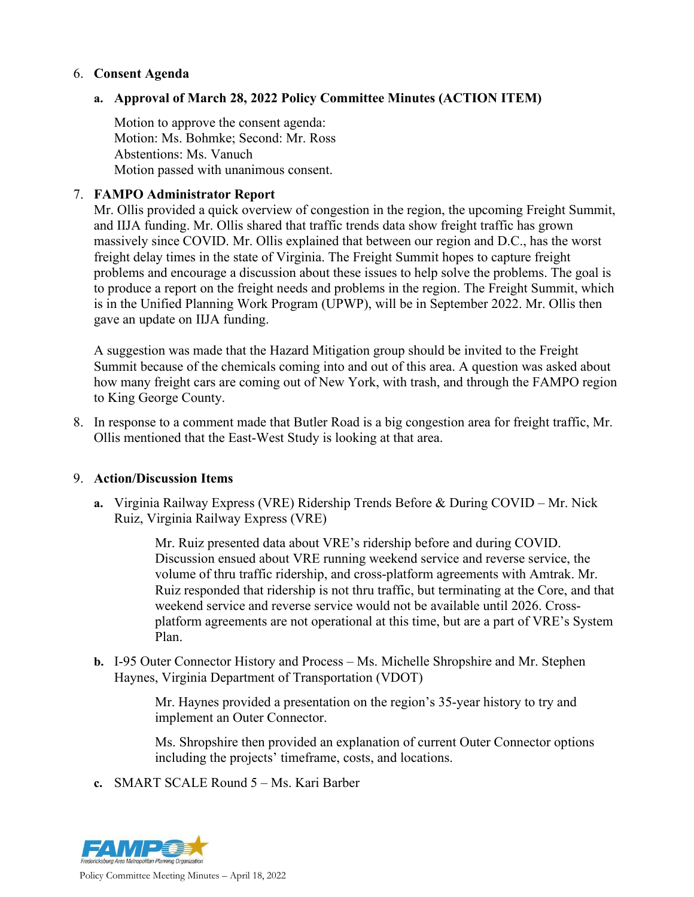## 6. **Consent Agenda**

## **a. Approval of March 28, 2022 Policy Committee Minutes (ACTION ITEM)**

Motion to approve the consent agenda: Motion: Ms. Bohmke; Second: Mr. Ross Abstentions: Ms. Vanuch Motion passed with unanimous consent.

## 7. **FAMPO Administrator Report**

Mr. Ollis provided a quick overview of congestion in the region, the upcoming Freight Summit, and IIJA funding. Mr. Ollis shared that traffic trends data show freight traffic has grown massively since COVID. Mr. Ollis explained that between our region and D.C., has the worst freight delay times in the state of Virginia. The Freight Summit hopes to capture freight problems and encourage a discussion about these issues to help solve the problems. The goal is to produce a report on the freight needs and problems in the region. The Freight Summit, which is in the Unified Planning Work Program (UPWP), will be in September 2022. Mr. Ollis then gave an update on IIJA funding.

A suggestion was made that the Hazard Mitigation group should be invited to the Freight Summit because of the chemicals coming into and out of this area. A question was asked about how many freight cars are coming out of New York, with trash, and through the FAMPO region to King George County.

8. In response to a comment made that Butler Road is a big congestion area for freight traffic, Mr. Ollis mentioned that the East-West Study is looking at that area.

#### 9. **Action/Discussion Items**

**a.** Virginia Railway Express (VRE) Ridership Trends Before & During COVID – Mr. Nick Ruiz, Virginia Railway Express (VRE)

> Mr. Ruiz presented data about VRE's ridership before and during COVID. Discussion ensued about VRE running weekend service and reverse service, the volume of thru traffic ridership, and cross-platform agreements with Amtrak. Mr. Ruiz responded that ridership is not thru traffic, but terminating at the Core, and that weekend service and reverse service would not be available until 2026. Crossplatform agreements are not operational at this time, but are a part of VRE's System Plan.

**b.** I-95 Outer Connector History and Process – Ms. Michelle Shropshire and Mr. Stephen Haynes, Virginia Department of Transportation (VDOT)

> Mr. Haynes provided a presentation on the region's 35-year history to try and implement an Outer Connector.

Ms. Shropshire then provided an explanation of current Outer Connector options including the projects' timeframe, costs, and locations.

**c.** SMART SCALE Round 5 – Ms. Kari Barber

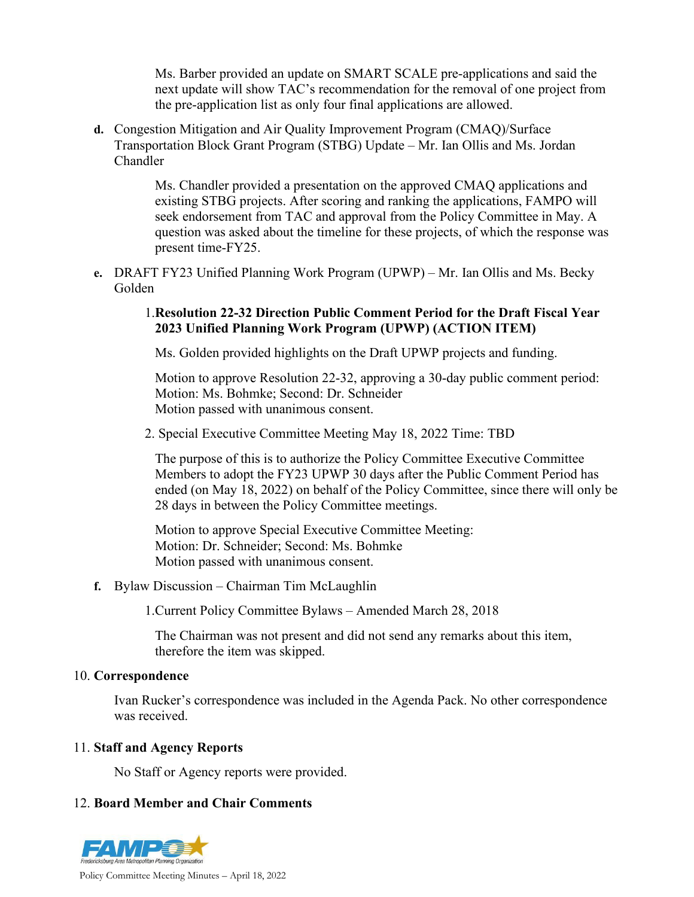Ms. Barber provided an update on SMART SCALE pre-applications and said the next update will show TAC's recommendation for the removal of one project from the pre-application list as only four final applications are allowed.

**d.** Congestion Mitigation and Air Quality Improvement Program (CMAQ)/Surface Transportation Block Grant Program (STBG) Update – Mr. Ian Ollis and Ms. Jordan Chandler

> Ms. Chandler provided a presentation on the approved CMAQ applications and existing STBG projects. After scoring and ranking the applications, FAMPO will seek endorsement from TAC and approval from the Policy Committee in May. A question was asked about the timeline for these projects, of which the response was present time-FY25.

**e.** DRAFT FY23 Unified Planning Work Program (UPWP) – Mr. Ian Ollis and Ms. Becky Golden

## 1.**Resolution 22-32 Direction Public Comment Period for the Draft Fiscal Year 2023 Unified Planning Work Program (UPWP) (ACTION ITEM)**

Ms. Golden provided highlights on the Draft UPWP projects and funding.

Motion to approve Resolution 22-32, approving a 30-day public comment period: Motion: Ms. Bohmke; Second: Dr. Schneider Motion passed with unanimous consent.

2. Special Executive Committee Meeting May 18, 2022 Time: TBD

The purpose of this is to authorize the Policy Committee Executive Committee Members to adopt the FY23 UPWP 30 days after the Public Comment Period has ended (on May 18, 2022) on behalf of the Policy Committee, since there will only be 28 days in between the Policy Committee meetings.

Motion to approve Special Executive Committee Meeting: Motion: Dr. Schneider; Second: Ms. Bohmke Motion passed with unanimous consent.

**f.** Bylaw Discussion – Chairman Tim McLaughlin

1.Current Policy Committee Bylaws – Amended March 28, 2018

The Chairman was not present and did not send any remarks about this item, therefore the item was skipped.

# 10. **Correspondence**

Ivan Rucker's correspondence was included in the Agenda Pack. No other correspondence was received.

# 11. **Staff and Agency Reports**

No Staff or Agency reports were provided.

# 12. **Board Member and Chair Comments**



Policy Committee Meeting Minutes – April 18, 2022